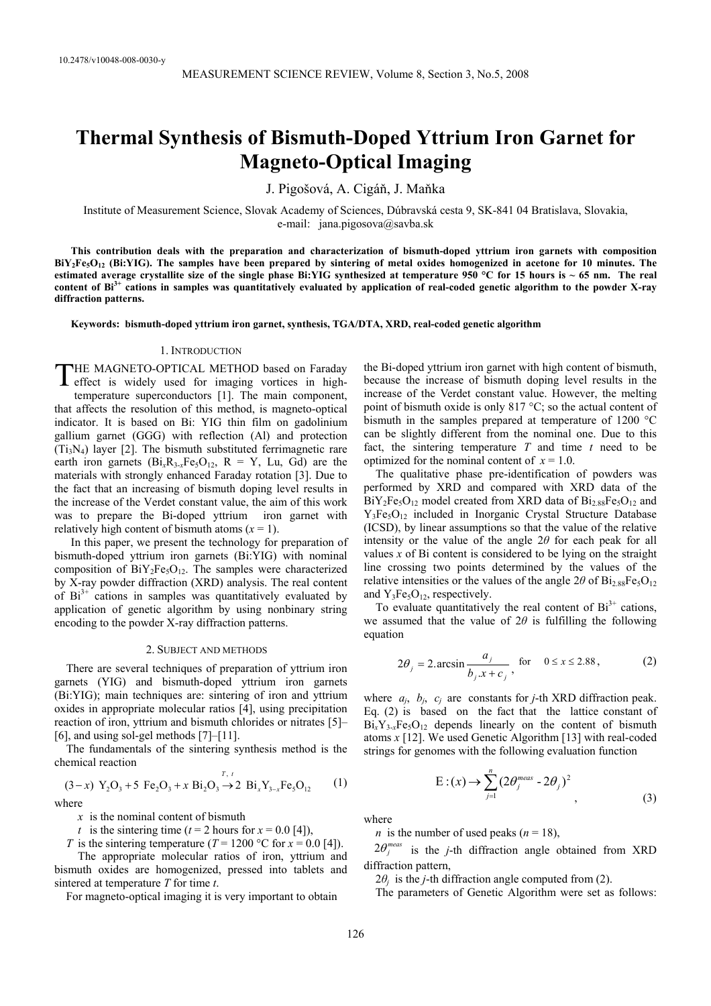# **Thermal Synthesis of Bismuth-Doped Yttrium Iron Garnet for Magneto-Optical Imaging**

J. Pigošová, A. Cigáň, J. Maňka

Institute of Measurement Science, Slovak Academy of Sciences, Dúbravská cesta 9, SK-841 04 Bratislava, Slovakia, e-mail: jana.pigosova@savba.sk

**This contribution deals with the preparation and characterization of bismuth-doped yttrium iron garnets with composition BiY2Fe5O12 (Bi:YIG). The samples have been prepared by sintering of metal oxides homogenized in acetone for 10 minutes. The estimated average crystallite size of the single phase Bi:YIG synthesized at temperature 950 °C for 15 hours is ~ 65 nm. The real content of Bi3+ cations in samples was quantitatively evaluated by application of real-coded genetic algorithm to the powder X-ray diffraction patterns.** 

**Keywords: bismuth-doped yttrium iron garnet, synthesis, TGA/DTA, XRD, real-coded genetic algorithm** 

#### 1. INTRODUCTION

THE MAGNETO-OPTICAL METHOD based on Faraday THE MAGNETO-OPTICAL METHOD based on Faraday<br>effect is widely used for imaging vortices in hightemperature superconductors [1]. The main component, that affects the resolution of this method, is magneto-optical indicator. It is based on Bi: YIG thin film on gadolinium gallium garnet (GGG) with reflection (Al) and protection  $(T_i,N_4)$  layer [2]. The bismuth substituted ferrimagnetic rare earth iron garnets  $(B_{1x}R_{3-x}Fe<sub>5</sub>O<sub>12</sub>$ ,  $R = Y$ , Lu, Gd) are the materials with strongly enhanced Faraday rotation [3]. Due to the fact that an increasing of bismuth doping level results in the increase of the Verdet constant value, the aim of this work was to prepare the Bi-doped yttrium iron garnet with relatively high content of bismuth atoms  $(x = 1)$ .

In this paper, we present the technology for preparation of bismuth-doped yttrium iron garnets (Bi:YIG) with nominal composition of  $\text{BiY}_2\text{Fe}_3\text{O}_{12}$ . The samples were characterized by X-ray powder diffraction (XRD) analysis. The real content of  $Bi^{3+}$  cations in samples was quantitatively evaluated by application of genetic algorithm by using nonbinary string encoding to the powder X-ray diffraction patterns.

#### 2. SUBJECT AND METHODS

There are several techniques of preparation of yttrium iron garnets (YIG) and bismuth-doped yttrium iron garnets (Bi:YIG); main techniques are: sintering of iron and yttrium oxides in appropriate molecular ratios [4], using precipitation reaction of iron, yttrium and bismuth chlorides or nitrates [5]– [6], and using sol-gel methods [7]–[11].

The fundamentals of the sintering synthesis method is the chemical reaction

$$
(3-x) Y_2O_3 + 5 Fe_2O_3 + x Bi_2O_3 \rightarrow 2 Bi_xY_{3-x}Fe_5O_{12}
$$
 (1)  
where

*x* is the nominal content of bismuth

*t* is the sintering time ( $t = 2$  hours for  $x = 0.0$  [4]),

*T* is the sintering temperature (*T* = 1200 °C for  $x = 0.0$  [4]).

 The appropriate molecular ratios of iron, yttrium and bismuth oxides are homogenized, pressed into tablets and sintered at temperature *T* for time *t*.

For magneto-optical imaging it is very important to obtain

the Bi-doped yttrium iron garnet with high content of bismuth, because the increase of bismuth doping level results in the increase of the Verdet constant value. However, the melting point of bismuth oxide is only 817 °C; so the actual content of bismuth in the samples prepared at temperature of 1200 °C can be slightly different from the nominal one. Due to this fact, the sintering temperature  $T$  and time  $t$  need to be optimized for the nominal content of  $x = 1.0$ .

The qualitative phase pre-identification of powders was performed by XRD and compared with XRD data of the  $BiY_2Fe_5O_{12}$  model created from XRD data of  $Bi_{2.88}Fe_5O_{12}$  and Y3Fe5O12 included in Inorganic Crystal Structure Database (ICSD), by linear assumptions so that the value of the relative intensity or the value of the angle 2*θ* for each peak for all values  $x$  of Bi content is considered to be lying on the straight line crossing two points determined by the values of the relative intensities or the values of the angle  $2\theta$  of  $\text{Bi}_{2.88}\text{Fe}_{5}\text{O}_{12}$ and  $Y_3Fe<sub>5</sub>O<sub>12</sub>$ , respectively.

To evaluate quantitatively the real content of  $Bi<sup>3+</sup>$  cations, we assumed that the value of  $2\theta$  is fulfilling the following equation

$$
2\theta_j = 2.\arcsin\frac{a_j}{b_j \cdot x + c_j}, \text{ for } 0 \le x \le 2.88, \tag{2}
$$

where  $a_i$ ,  $b_i$ ,  $c_j$  are constants for *j*-th XRD diffraction peak. Eq. (2) is based on the fact that the lattice constant of  $Bi_xY_{3-x}Fe_5O_{12}$  depends linearly on the content of bismuth atoms *x* [12]. We used Genetic Algorithm [13] with real-coded strings for genomes with the following evaluation function

$$
E:(x) \to \sum_{j=1}^{n} (2\theta_j^{\text{meas}} - 2\theta_j)^2
$$
\n(3)

where

*n* is the number of used peaks  $(n = 18)$ ,

 $2\theta_j^{meas}$  is the *j*-th diffraction angle obtained from XRD diffraction pattern,

 $2\theta_i$  is the *j*-th diffraction angle computed from (2).

The parameters of Genetic Algorithm were set as follows: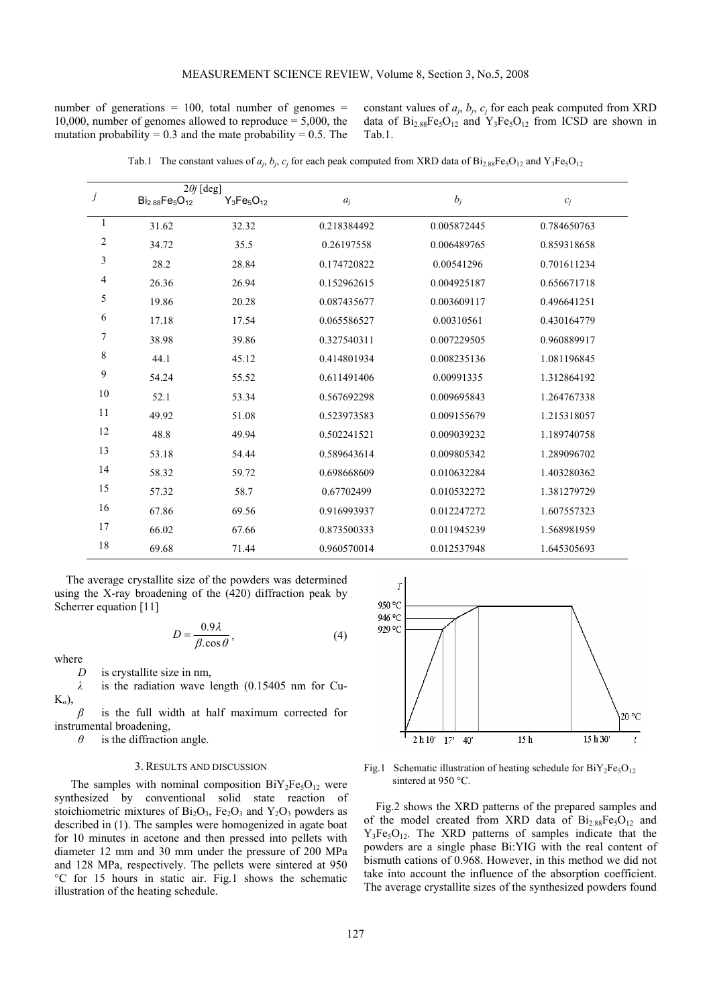number of generations  $= 100$ , total number of genomes  $=$ 10,000, number of genomes allowed to reproduce = 5,000, the mutation probability =  $0.3$  and the mate probability =  $0.5$ . The constant values of  $a_j$ ,  $b_j$ ,  $c_j$  for each peak computed from XRD data of  $Bi_{2.88}Fe_{5}O_{12}$  and  $Y_{3}Fe_{5}O_{12}$  from ICSD are shown in Tab.1.

|                               | $2\theta j$ [deg]       |                 |             |             |             |
|-------------------------------|-------------------------|-----------------|-------------|-------------|-------------|
| $\ensuremath{\boldsymbol{j}}$ | $Bi_{2.88}Fe_{5}O_{12}$ | $Y_3Fe_5O_{12}$ | $a_i$       | $b_j$       | $c_j$       |
| 1                             | 31.62                   | 32.32           | 0.218384492 | 0.005872445 | 0.784650763 |
| $\overline{2}$                | 34.72                   | 35.5            | 0.26197558  | 0.006489765 | 0.859318658 |
| 3                             | 28.2                    | 28.84           | 0.174720822 | 0.00541296  | 0.701611234 |
| 4                             | 26.36                   | 26.94           | 0.152962615 | 0.004925187 | 0.656671718 |
| 5                             | 19.86                   | 20.28           | 0.087435677 | 0.003609117 | 0.496641251 |
| 6                             | 17.18                   | 17.54           | 0.065586527 | 0.00310561  | 0.430164779 |
| 7                             | 38.98                   | 39.86           | 0.327540311 | 0.007229505 | 0.960889917 |
| 8                             | 44.1                    | 45.12           | 0.414801934 | 0.008235136 | 1.081196845 |
| 9                             | 54.24                   | 55.52           | 0.611491406 | 0.00991335  | 1.312864192 |
| 10                            | 52.1                    | 53.34           | 0.567692298 | 0.009695843 | 1.264767338 |
| 11                            | 49.92                   | 51.08           | 0.523973583 | 0.009155679 | 1.215318057 |
| 12                            | 48.8                    | 49.94           | 0.502241521 | 0.009039232 | 1.189740758 |
| 13                            | 53.18                   | 54.44           | 0.589643614 | 0.009805342 | 1.289096702 |
| 14                            | 58.32                   | 59.72           | 0.698668609 | 0.010632284 | 1.403280362 |
| 15                            | 57.32                   | 58.7            | 0.67702499  | 0.010532272 | 1.381279729 |
| 16                            | 67.86                   | 69.56           | 0.916993937 | 0.012247272 | 1.607557323 |
| 17                            | 66.02                   | 67.66           | 0.873500333 | 0.011945239 | 1.568981959 |
| 18                            | 69.68                   | 71.44           | 0.960570014 | 0.012537948 | 1.645305693 |

Tab.1 The constant values of  $a_j$ ,  $b_j$ ,  $c_j$  for each peak computed from XRD data of  $Bi_{2.88}Fe_{5}O_{12}$  and  $Y_3Fe_{5}O_{12}$ 

The average crystallite size of the powders was determined using the X-ray broadening of the (420) diffraction peak by Scherrer equation [11]

$$
D = \frac{0.9\lambda}{\beta \cdot \cos \theta},\tag{4}
$$

where

*D* is crystallite size in nm,

*λ* is the radiation wave length (0.15405 nm for Cu-K*α*),

*β* is the full width at half maximum corrected for instrumental broadening,

*θ* is the diffraction angle.

### 3. RESULTS AND DISCUSSION

The samples with nominal composition  $\rm BiY_2Fe_5O_{12}$  were synthesized by conventional solid state reaction of stoichiometric mixtures of  $Bi<sub>2</sub>O<sub>3</sub>$ , Fe<sub>2</sub>O<sub>3</sub> and Y<sub>2</sub>O<sub>3</sub> powders as described in (1). The samples were homogenized in agate boat for 10 minutes in acetone and then pressed into pellets with diameter 12 mm and 30 mm under the pressure of 200 MPa and 128 MPa, respectively. The pellets were sintered at 950 °C for 15 hours in static air. Fig.1 shows the schematic illustration of the heating schedule.



Fig.1 Schematic illustration of heating schedule for  $BiY_2Fe_5O_{12}$ sintered at 950 °C.

Fig.2 shows the XRD patterns of the prepared samples and of the model created from XRD data of  $Bi<sub>2.88</sub>Fe<sub>5</sub>O<sub>12</sub>$  and  $Y_3Fe_5O_{12}$ . The XRD patterns of samples indicate that the powders are a single phase Bi:YIG with the real content of bismuth cations of 0.968. However, in this method we did not take into account the influence of the absorption coefficient. The average crystallite sizes of the synthesized powders found